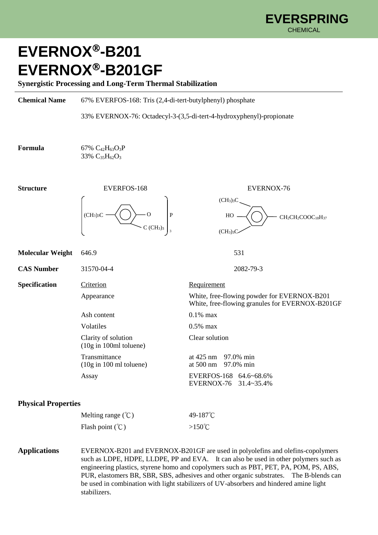CH<sub>2</sub>CH<sub>2</sub>COOC<sub>18</sub>H<sub>37</sub>

White, free-flowing granules for EVERNOX-B201GF

EVERNOX-76 31.4~35.4%

 $(CH<sub>3</sub>)<sub>3</sub>C$ 

HO

 $(CH<sub>3</sub>)<sub>3</sub>C$ 

## **EVERNOX-B201 EVERNOX-B201GF**

**Synergistic Processing and Long-Term Thermal Stabilization**

**Chemical Name** 67% EVERFOS-168: Tris (2,4-di-tert-butylphenyl) phosphate

33% EVERNOX-76: Octadecyl-3-(3,5-di-tert-4-hydroxyphenyl)-propionate

3

 $C$  (CH<sub>3</sub>)<sub>3</sub>

**Formula** 67%  $C_{42}H_{63}O_3P$ 33% C<sub>35</sub>H<sub>62</sub>O<sub>3</sub>

**Structure** EVERFOS-168 EVERNOX-76  $(CH_3)_3C$ O

**Molecular Weight** 646.9 531 **CAS Number** 31570-04-4 2082-79-3

**Specification** Criterion Requirement

Appearance White, free-flowing powder for EVERNOX-B201

Ash content 0.1% max Volatiles 0.5% max Clarity of solution Clear solution (10g in 100ml toluene)

Transmittance at 425 nm 97.0% min<br>(10g in 100 ml toluene) at 500 nm 97.0% min  $(10g in 100 ml toluene)$ Assay EVERFOS-168 64.6~68.6%

**Physical Properties**

| Melting range $({}^{\circ}C)$ | 49-187 $^{\circ}$ C |
|-------------------------------|---------------------|
| Flash point $(\mathcal{C})$   | $>150^{\circ}$ C    |

**Applications** EVERNOX-B201 and EVERNOX-B201GF are used in polyolefins and olefins-copolymers such as LDPE, HDPE, LLDPE, PP and EVA. It can also be used in other polymers such as engineering plastics, styrene homo and copolymers such as PBT, PET, PA, POM, PS, ABS, PUR, elastomers BR, SBR, SBS, adhesives and other organic substrates. The B-blends can be used in combination with light stabilizers of UV-absorbers and hindered amine light stabilizers.